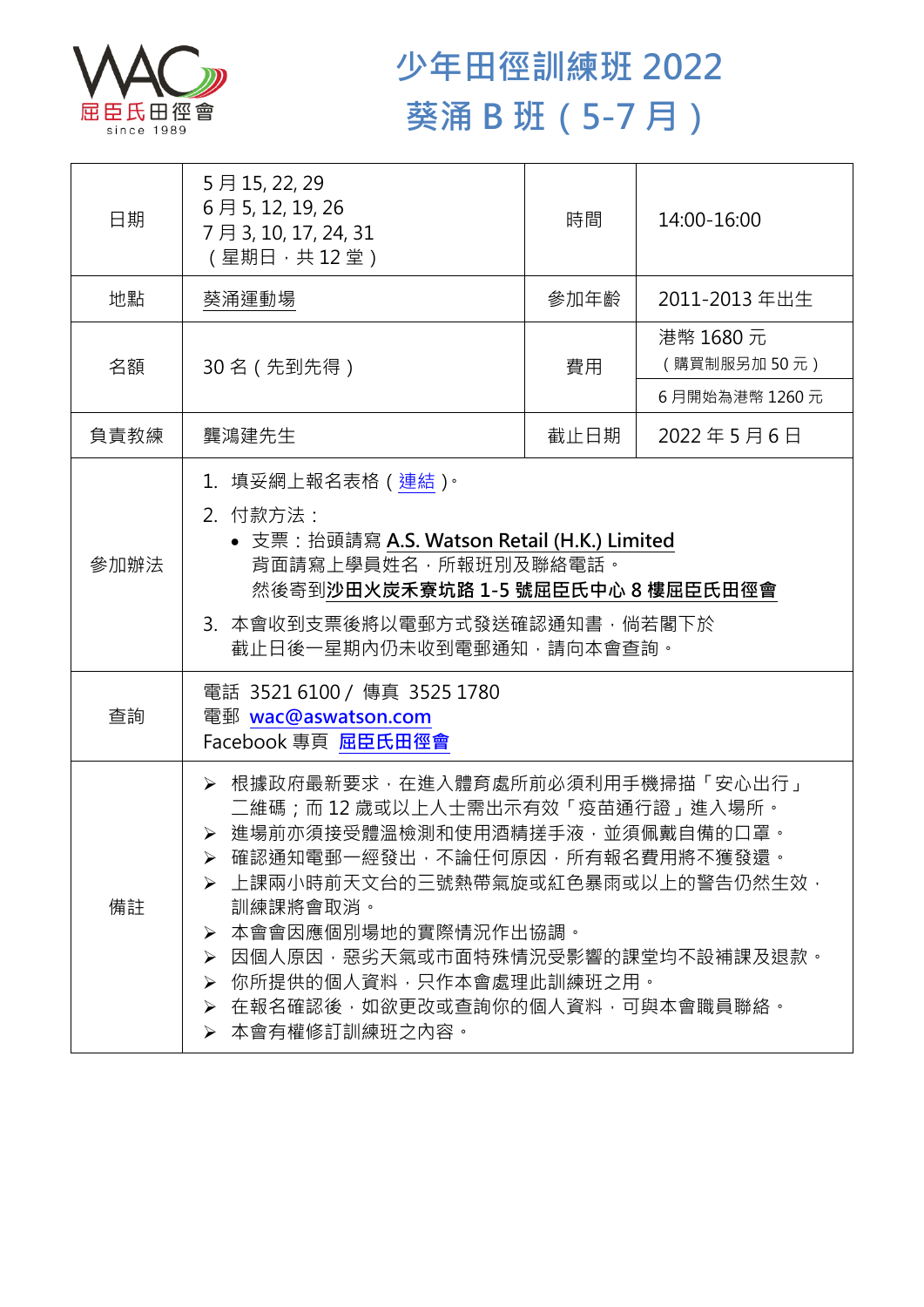

## **少年田徑訓練班 2022 葵涌 B 班(5-7 月)**

| 日期   | 5月15, 22, 29<br>6月5, 12, 19, 26<br>7月3, 10, 17, 24, 31<br>(星期日 · 共12堂)                                                                                                                                                                                                                                                                                          | 時間   | 14:00-16:00              |  |
|------|-----------------------------------------------------------------------------------------------------------------------------------------------------------------------------------------------------------------------------------------------------------------------------------------------------------------------------------------------------------------|------|--------------------------|--|
| 地點   | 葵涌運動場                                                                                                                                                                                                                                                                                                                                                           | 參加年齡 | 2011-2013 年出生            |  |
| 名額   | 30 名 (先到先得)                                                                                                                                                                                                                                                                                                                                                     | 費用   | 港幣 1680 元<br>(購買制服另加50元) |  |
|      |                                                                                                                                                                                                                                                                                                                                                                 |      | 6月開始為港幣 1260元            |  |
| 負責教練 | 龔鴻建先生                                                                                                                                                                                                                                                                                                                                                           | 截止日期 | 2022年5月6日                |  |
| 參加辦法 | 1.填妥網上報名表格(連結) <sup>。</sup><br>2. 付款方法:<br>• 支票: 抬頭請寫 A.S. Watson Retail (H.K.) Limited<br>背面請寫上學員姓名,所報班別及聯絡電話。<br>然後寄到沙田火炭禾寮坑路 1-5 號屈臣氏中心 8 樓屈臣氏田徑會<br>3.本會收到支票後將以電郵方式發送確認通知書,倘若閣下於<br>截止日後一星期內仍未收到電郵通知,請向本會查詢。                                                                                                                                                |      |                          |  |
| 查詢   | 電話 35216100 / 傳真 3525 1780<br>電郵 wac@aswatson.com<br>Facebook 專頁 屈臣氏田徑會                                                                                                                                                                                                                                                                                         |      |                          |  |
| 備註   | ▶ 根據政府最新要求 · 在進入體育處所前必須利用手機掃描「安心出行」<br>二維碼;而12歳或以上人士需出示有效「疫苗通行證」進入場所。<br>▶ 進場前亦須接受體溫檢測和使用酒精搓手液·並須佩戴自備的口罩。<br>▶ 確認通知電郵一經發出,不論任何原因,所有報名費用將不獲發還。<br>▶ 上課兩小時前天文台的三號熱帶氣旋或紅色暴雨或以上的警告仍然生效 ·<br>訓練課將會取消。<br>本會會因應個別場地的實際情況作出協調。<br>➤<br>因個人原因,惡劣天氣或市面特殊情況受影響的課堂均不設補課及退款。<br>➤<br>你所提供的個人資料,只作本會處理此訓練班之用。<br>➤<br>在報名確認後,如欲更改或查詢你的個人資料,可與本會職員聯絡。<br>≻<br>▶ 本會有權修訂訓練班之內容。 |      |                          |  |